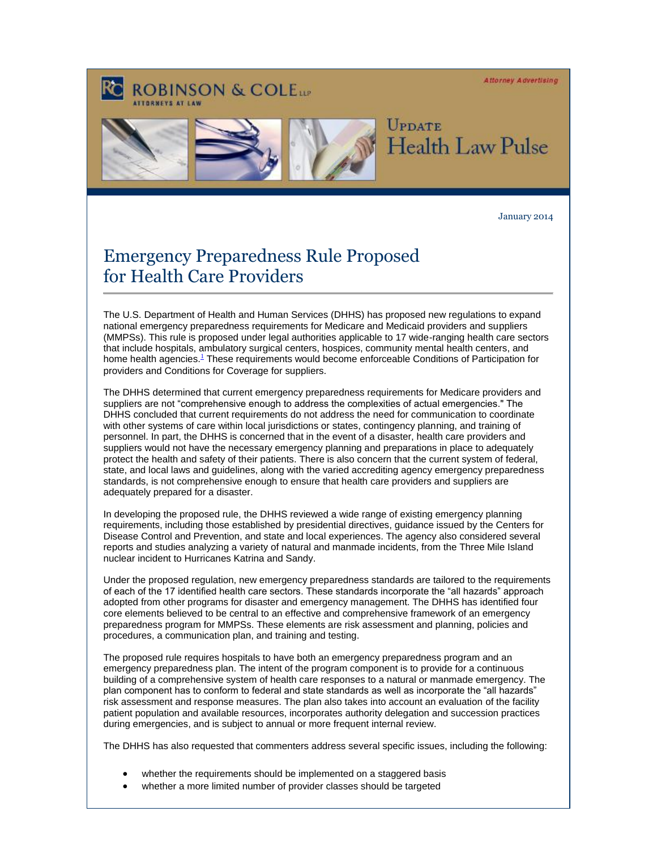**Attorney Advertising** 

## **ROBINSON & COLELLE**



UPDATE Health Law Pulse

January 2014

## Emergency Preparedness Rule Proposed for Health Care Providers

The U.S. Department of Health and Human Services (DHHS) has proposed new regulations to expand national emergency preparedness requirements for Medicare and Medicaid providers and suppliers (MMPSs). This rule is proposed under legal authorities applicable to 17 wide-ranging health care sectors that include hospitals, ambulatory surgical centers, hospices, community mental health centers, and home health agencies[.](#page-1-0)<sup>1</sup> These requirements would become enforceable Conditions of Participation for providers and Conditions for Coverage for suppliers.

The DHHS determined that current emergency preparedness requirements for Medicare providers and suppliers are not "comprehensive enough to address the complexities of actual emergencies." The DHHS concluded that current requirements do not address the need for communication to coordinate with other systems of care within local jurisdictions or states, contingency planning, and training of personnel. In part, the DHHS is concerned that in the event of a disaster, health care providers and suppliers would not have the necessary emergency planning and preparations in place to adequately protect the health and safety of their patients. There is also concern that the current system of federal, state, and local laws and guidelines, along with the varied accrediting agency emergency preparedness standards, is not comprehensive enough to ensure that health care providers and suppliers are adequately prepared for a disaster.

In developing the proposed rule, the DHHS reviewed a wide range of existing emergency planning requirements, including those established by presidential directives, guidance issued by the Centers for Disease Control and Prevention, and state and local experiences. The agency also considered several reports and studies analyzing a variety of natural and manmade incidents, from the Three Mile Island nuclear incident to Hurricanes Katrina and Sandy.

Under the proposed regulation, new emergency preparedness standards are tailored to the requirements of each of the 17 identified health care sectors. These standards incorporate the "all hazards" approach adopted from other programs for disaster and emergency management. The DHHS has identified four core elements believed to be central to an effective and comprehensive framework of an emergency preparedness program for MMPSs. These elements are risk assessment and planning, policies and procedures, a communication plan, and training and testing.

The proposed rule requires hospitals to have both an emergency preparedness program and an emergency preparedness plan. The intent of the program component is to provide for a continuous building of a comprehensive system of health care responses to a natural or manmade emergency. The plan component has to conform to federal and state standards as well as incorporate the "all hazards" risk assessment and response measures. The plan also takes into account an evaluation of the facility patient population and available resources, incorporates authority delegation and succession practices during emergencies, and is subject to annual or more frequent internal review.

The DHHS has also requested that commenters address several specific issues, including the following:

- whether the requirements should be implemented on a staggered basis
- whether a more limited number of provider classes should be targeted